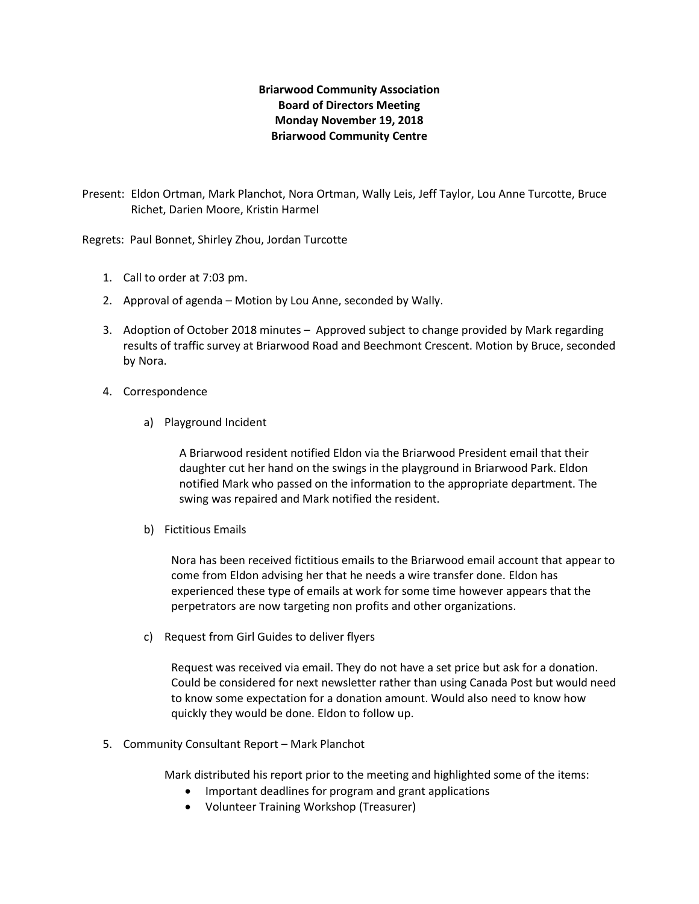## **Briarwood Community Association Board of Directors Meeting Monday November 19, 2018 Briarwood Community Centre**

Present: Eldon Ortman, Mark Planchot, Nora Ortman, Wally Leis, Jeff Taylor, Lou Anne Turcotte, Bruce Richet, Darien Moore, Kristin Harmel

Regrets: Paul Bonnet, Shirley Zhou, Jordan Turcotte

- 1. Call to order at 7:03 pm.
- 2. Approval of agenda Motion by Lou Anne, seconded by Wally.
- 3. Adoption of October 2018 minutes Approved subject to change provided by Mark regarding results of traffic survey at Briarwood Road and Beechmont Crescent. Motion by Bruce, seconded by Nora.
- 4. Correspondence
	- a) Playground Incident

A Briarwood resident notified Eldon via the Briarwood President email that their daughter cut her hand on the swings in the playground in Briarwood Park. Eldon notified Mark who passed on the information to the appropriate department. The swing was repaired and Mark notified the resident.

b) Fictitious Emails

Nora has been received fictitious emails to the Briarwood email account that appear to come from Eldon advising her that he needs a wire transfer done. Eldon has experienced these type of emails at work for some time however appears that the perpetrators are now targeting non profits and other organizations.

c) Request from Girl Guides to deliver flyers

Request was received via email. They do not have a set price but ask for a donation. Could be considered for next newsletter rather than using Canada Post but would need to know some expectation for a donation amount. Would also need to know how quickly they would be done. Eldon to follow up.

5. Community Consultant Report – Mark Planchot

Mark distributed his report prior to the meeting and highlighted some of the items:

- Important deadlines for program and grant applications
- Volunteer Training Workshop (Treasurer)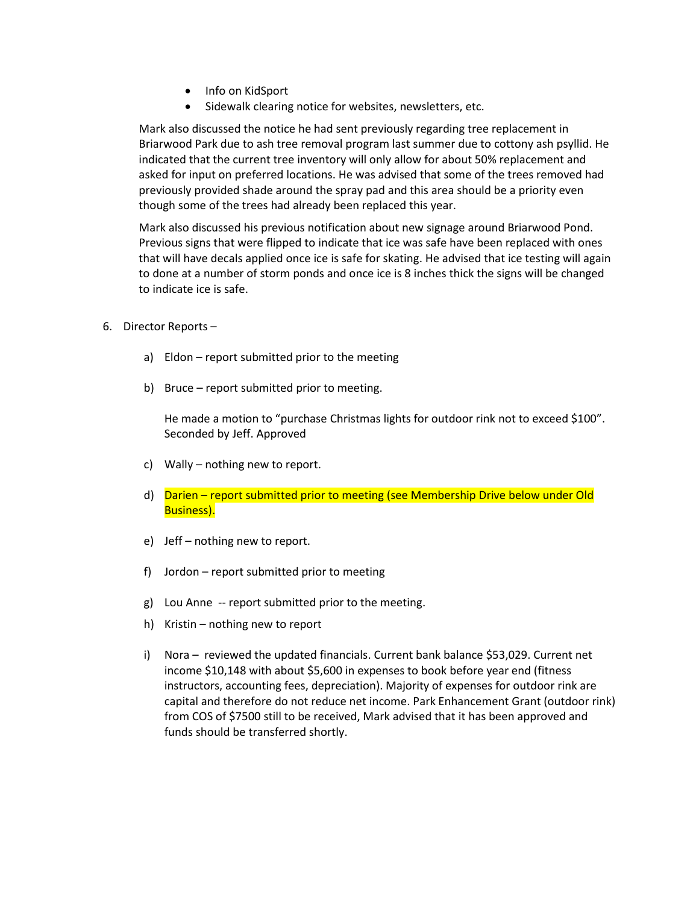- Info on KidSport
- Sidewalk clearing notice for websites, newsletters, etc.

Mark also discussed the notice he had sent previously regarding tree replacement in Briarwood Park due to ash tree removal program last summer due to cottony ash psyllid. He indicated that the current tree inventory will only allow for about 50% replacement and asked for input on preferred locations. He was advised that some of the trees removed had previously provided shade around the spray pad and this area should be a priority even though some of the trees had already been replaced this year.

Mark also discussed his previous notification about new signage around Briarwood Pond. Previous signs that were flipped to indicate that ice was safe have been replaced with ones that will have decals applied once ice is safe for skating. He advised that ice testing will again to done at a number of storm ponds and once ice is 8 inches thick the signs will be changed to indicate ice is safe.

- 6. Director Reports
	- a) Eldon report submitted prior to the meeting
	- b) Bruce report submitted prior to meeting.

He made a motion to "purchase Christmas lights for outdoor rink not to exceed \$100". Seconded by Jeff. Approved

- c) Wally nothing new to report.
- d) Darien report submitted prior to meeting (see Membership Drive below under Old Business).
- e) Jeff nothing new to report.
- f) Jordon report submitted prior to meeting
- g) Lou Anne -- report submitted prior to the meeting.
- h) Kristin nothing new to report
- i) Nora reviewed the updated financials. Current bank balance \$53,029. Current net income \$10,148 with about \$5,600 in expenses to book before year end (fitness instructors, accounting fees, depreciation). Majority of expenses for outdoor rink are capital and therefore do not reduce net income. Park Enhancement Grant (outdoor rink) from COS of \$7500 still to be received, Mark advised that it has been approved and funds should be transferred shortly.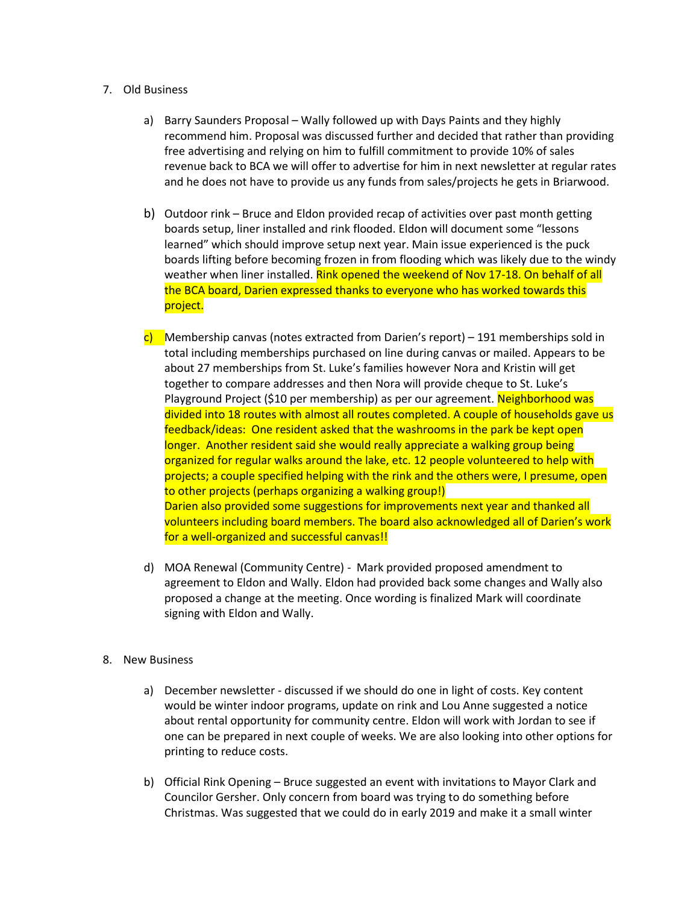## 7. Old Business

- a) Barry Saunders Proposal Wally followed up with Days Paints and they highly recommend him. Proposal was discussed further and decided that rather than providing free advertising and relying on him to fulfill commitment to provide 10% of sales revenue back to BCA we will offer to advertise for him in next newsletter at regular rates and he does not have to provide us any funds from sales/projects he gets in Briarwood.
- b) Outdoor rink Bruce and Eldon provided recap of activities over past month getting boards setup, liner installed and rink flooded. Eldon will document some "lessons learned" which should improve setup next year. Main issue experienced is the puck boards lifting before becoming frozen in from flooding which was likely due to the windy weather when liner installed. Rink opened the weekend of Nov 17-18. On behalf of all the BCA board, Darien expressed thanks to everyone who has worked towards this project.
- c) Membership canvas (notes extracted from Darien's report) 191 memberships sold in total including memberships purchased on line during canvas or mailed. Appears to be about 27 memberships from St. Luke's families however Nora and Kristin will get together to compare addresses and then Nora will provide cheque to St. Luke's Playground Project (\$10 per membership) as per our agreement. Neighborhood was divided into 18 routes with almost all routes completed. A couple of households gave us feedback/ideas: One resident asked that the washrooms in the park be kept open longer. Another resident said she would really appreciate a walking group being organized for regular walks around the lake, etc. 12 people volunteered to help with projects; a couple specified helping with the rink and the others were, I presume, open to other projects (perhaps organizing a walking group!) Darien also provided some suggestions for improvements next year and thanked all volunteers including board members. The board also acknowledged all of Darien's work for a well-organized and successful canvas!!
- d) MOA Renewal (Community Centre) Mark provided proposed amendment to agreement to Eldon and Wally. Eldon had provided back some changes and Wally also proposed a change at the meeting. Once wording is finalized Mark will coordinate signing with Eldon and Wally.
- 8. New Business
	- a) December newsletter discussed if we should do one in light of costs. Key content would be winter indoor programs, update on rink and Lou Anne suggested a notice about rental opportunity for community centre. Eldon will work with Jordan to see if one can be prepared in next couple of weeks. We are also looking into other options for printing to reduce costs.
	- b) Official Rink Opening Bruce suggested an event with invitations to Mayor Clark and Councilor Gersher. Only concern from board was trying to do something before Christmas. Was suggested that we could do in early 2019 and make it a small winter